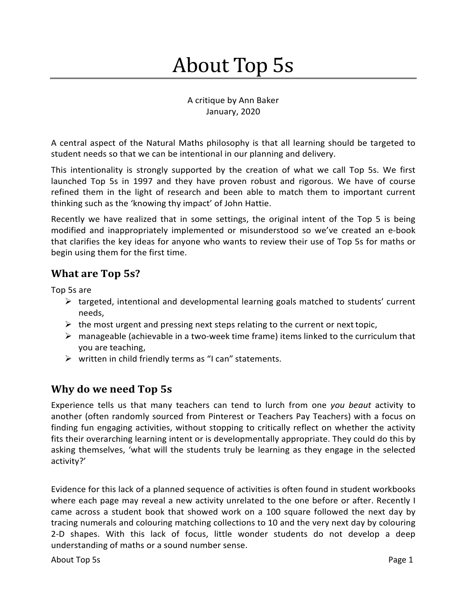# About Top 5s

A critique by Ann Baker January, 2020

A central aspect of the Natural Maths philosophy is that all learning should be targeted to student needs so that we can be intentional in our planning and delivery.

This intentionality is strongly supported by the creation of what we call Top 5s. We first launched Top 5s in 1997 and they have proven robust and rigorous. We have of course refined them in the light of research and been able to match them to important current thinking such as the 'knowing thy impact' of John Hattie.

Recently we have realized that in some settings, the original intent of the Top 5 is being modified and inappropriately implemented or misunderstood so we've created an e-book that clarifies the key ideas for anyone who wants to review their use of Top 5s for maths or begin using them for the first time.

## **What are Top 5s?**

Top 5s are

- $\triangleright$  targeted, intentional and developmental learning goals matched to students' current needs,
- $\triangleright$  the most urgent and pressing next steps relating to the current or next topic,
- $\triangleright$  manageable (achievable in a two-week time frame) items linked to the curriculum that you are teaching,
- $\triangleright$  written in child friendly terms as "I can" statements.

## **Why do we need Top 5s**

Experience tells us that many teachers can tend to lurch from one *you beaut* activity to another (often randomly sourced from Pinterest or Teachers Pay Teachers) with a focus on finding fun engaging activities, without stopping to critically reflect on whether the activity fits their overarching learning intent or is developmentally appropriate. They could do this by asking themselves, 'what will the students truly be learning as they engage in the selected activity?'

Evidence for this lack of a planned sequence of activities is often found in student workbooks where each page may reveal a new activity unrelated to the one before or after. Recently I came across a student book that showed work on a 100 square followed the next day by tracing numerals and colouring matching collections to 10 and the very next day by colouring 2-D shapes. With this lack of focus, little wonder students do not develop a deep understanding of maths or a sound number sense.

About Top 5s Page 1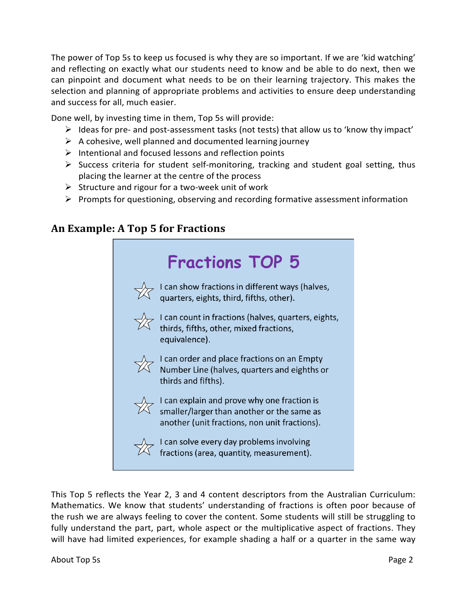The power of Top 5s to keep us focused is why they are so important. If we are 'kid watching' and reflecting on exactly what our students need to know and be able to do next, then we can pinpoint and document what needs to be on their learning trajectory. This makes the selection and planning of appropriate problems and activities to ensure deep understanding and success for all, much easier.

Done well, by investing time in them, Top 5s will provide:

- $\triangleright$  Ideas for pre- and post-assessment tasks (not tests) that allow us to 'know thy impact'
- $\triangleright$  A cohesive, well planned and documented learning journey
- $\triangleright$  Intentional and focused lessons and reflection points
- $\triangleright$  Success criteria for student self-monitoring, tracking and student goal setting, thus placing the learner at the centre of the process
- $\triangleright$  Structure and rigour for a two-week unit of work
- $\triangleright$  Prompts for questioning, observing and recording formative assessment information

#### **An Example: A Top 5 for Fractions**



This Top 5 reflects the Year 2, 3 and 4 content descriptors from the Australian Curriculum: Mathematics. We know that students' understanding of fractions is often poor because of the rush we are always feeling to cover the content. Some students will still be struggling to fully understand the part, part, whole aspect or the multiplicative aspect of fractions. They will have had limited experiences, for example shading a half or a quarter in the same way

About Top 5s Page 2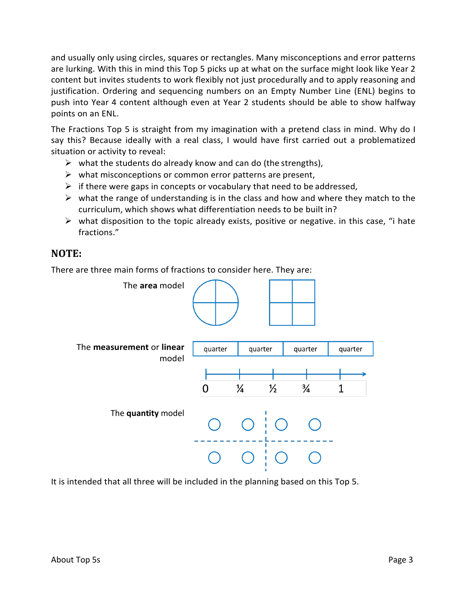and usually only using circles, squares or rectangles. Many misconceptions and error patterns are lurking. With this in mind this Top 5 picks up at what on the surface might look like Year 2 content but invites students to work flexibly not just procedurally and to apply reasoning and justification. Ordering and sequencing numbers on an Empty Number Line (ENL) begins to push into Year 4 content although even at Year 2 students should be able to show halfway points on an ENL.

The Fractions Top 5 is straight from my imagination with a pretend class in mind. Why do I say this? Because ideally with a real class, I would have first carried out a problematized situation or activity to reveal:

- $\triangleright$  what the students do already know and can do (the strengths),
- $\triangleright$  what misconceptions or common error patterns are present,
- $\triangleright$  if there were gaps in concepts or vocabulary that need to be addressed,
- $\triangleright$  what the range of understanding is in the class and how and where they match to the curriculum, which shows what differentiation needs to be built in?
- $\triangleright$  what disposition to the topic already exists, positive or negative. in this case, "i hate fractions."

#### **NOTE:**

There are three main forms of fractions to consider here. They are:



It is intended that all three will be included in the planning based on this Top 5.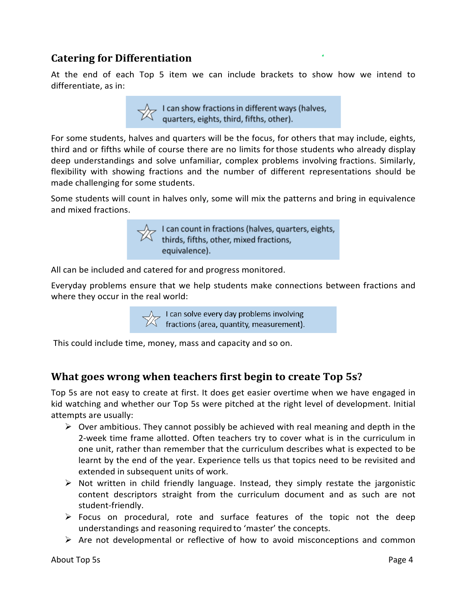## **Catering for Differentiation**

At the end of each Top 5 item we can include brackets to show how we intend to differentiate, as in:

 $\sqrt{\phantom{a}}$  I can show fractions in different ways (halves,<br>quarters, eights, third, fifths, other).

For some students, halves and quarters will be the focus, for others that may include, eights, third and or fifths while of course there are no limits forthose students who already display deep understandings and solve unfamiliar, complex problems involving fractions. Similarly, flexibility with showing fractions and the number of different representations should be made challenging for some students.

Some students will count in halves only, some will mix the patterns and bring in equivalence and mixed fractions.



All can be included and catered for and progress monitored.

Everyday problems ensure that we help students make connections between fractions and where they occur in the real world:

 $\mathcal{A}$  I can solve every day problems involving<br>I fractions (area, quantity, measurement).

This could include time, money, mass and capacity and so on.

## **What goes wrong when teachers first begin to create Top 5s?**

Top 5s are not easy to create at first. It does get easier overtime when we have engaged in kid watching and whether our Top 5s were pitched at the right level of development. Initial attempts are usually:

- $\triangleright$  Over ambitious. They cannot possibly be achieved with real meaning and depth in the 2-week time frame allotted. Often teachers try to cover what is in the curriculum in one unit, rather than remember that the curriculum describes what is expected to be learnt by the end of the year. Experience tells us that topics need to be revisited and extended in subsequent units of work.
- $\triangleright$  Not written in child friendly language. Instead, they simply restate the jargonistic content descriptors straight from the curriculum document and as such are not student-friendly.
- $\triangleright$  Focus on procedural, rote and surface features of the topic not the deep understandings and reasoning required to 'master' the concepts.
- $\triangleright$  Are not developmental or reflective of how to avoid misconceptions and common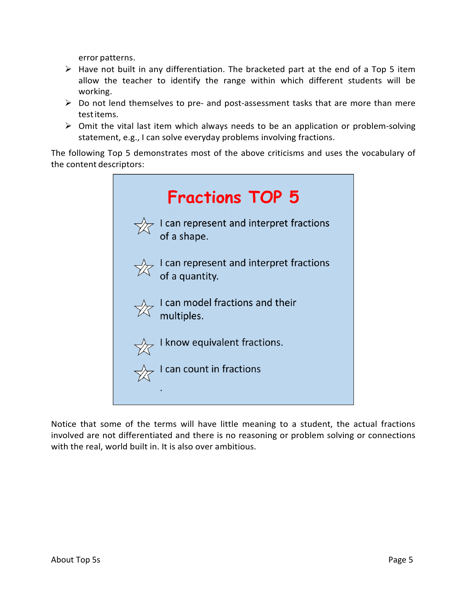error patterns.

- $\triangleright$  Have not built in any differentiation. The bracketed part at the end of a Top 5 item allow the teacher to identify the range within which different students will be working.
- $\triangleright$  Do not lend themselves to pre- and post-assessment tasks that are more than mere testitems.
- $\triangleright$  Omit the vital last item which always needs to be an application or problem-solving statement, e.g., I can solve everyday problems involving fractions.

The following Top 5 demonstrates most of the above criticisms and uses the vocabulary of the content descriptors:

| <b>Fractions TOP 5</b>                                                  |
|-------------------------------------------------------------------------|
| I can represent and interpret fractions<br>of a shape.                  |
| $\sqrt{\chi}$ I can represent and interpret fractions<br>of a quantity. |
| $\sqrt{\chi}$ I can model fractions and their<br>multiples.             |
| know equivalent fractions.                                              |
| I can count in fractions                                                |

Notice that some of the terms will have little meaning to a student, the actual fractions involved are not differentiated and there is no reasoning or problem solving or connections with the real, world built in. It is also over ambitious.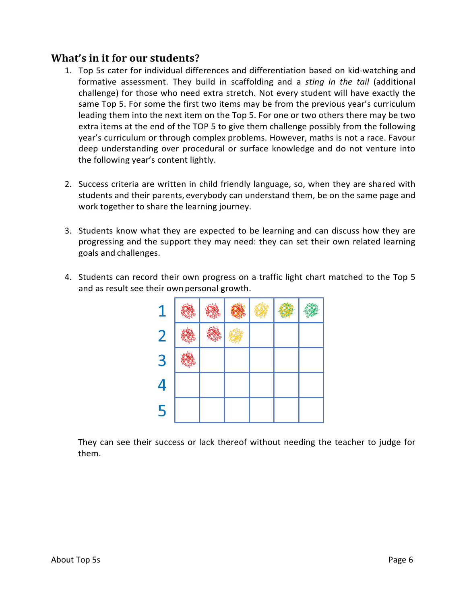#### **What's in it for our students?**

- 1. Top 5s cater for individual differences and differentiation based on kid-watching and formative assessment. They build in scaffolding and a *sting in the tail* (additional challenge) for those who need extra stretch. Not every student will have exactly the same Top 5. For some the first two items may be from the previous year's curriculum leading them into the next item on the Top 5. For one or two others there may be two extra items at the end of the TOP 5 to give them challenge possibly from the following year's curriculum or through complex problems. However, maths is not a race. Favour deep understanding over procedural or surface knowledge and do not venture into the following year's content lightly.
- 2. Success criteria are written in child friendly language, so, when they are shared with students and their parents, everybody can understand them, be on the same page and work together to share the learning journey.
- 3. Students know what they are expected to be learning and can discuss how they are progressing and the support they may need: they can set their own related learning goals and challenges.
- 4. Students can record their own progress on a traffic light chart matched to the Top 5 and as result see their ownpersonal growth.



They can see their success or lack thereof without needing the teacher to judge for them.